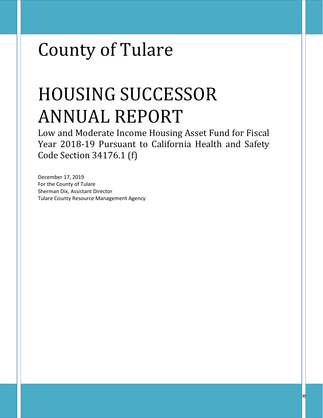# County of Tulare

# HOUSING SUCCESSOR ANNUAL REPORT

Low and Moderate Income Housing Asset Fund for Fiscal Year 2018-19 Pursuant to California Health and Safety Code Section 34176.1 (f)

December 17, 2019 For the County of Tulare Sherman Dix, Assistant Director Tulare County Resource Management Agency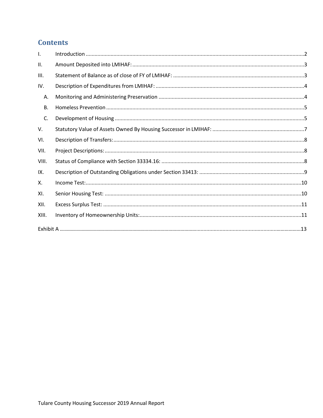## **Contents**

| $\mathbf{L}$ |  |
|--------------|--|
| II.          |  |
| III.         |  |
| IV.          |  |
| А.           |  |
| В.           |  |
| C.           |  |
| V.           |  |
| VI.          |  |
| VII.         |  |
| VIII.        |  |
| IX.          |  |
| Χ.           |  |
| XI.          |  |
| XII.         |  |
| XIII.        |  |
|              |  |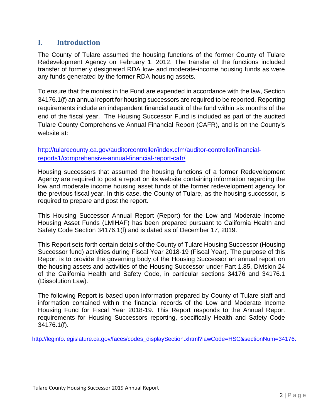## <span id="page-2-0"></span>**I. Introduction**

The County of Tulare assumed the housing functions of the former County of Tulare Redevelopment Agency on February 1, 2012. The transfer of the functions included transfer of formerly designated RDA low- and moderate-income housing funds as were any funds generated by the former RDA housing assets.

To ensure that the monies in the Fund are expended in accordance with the law, Section 34176.1(f) an annual report for housing successors are required to be reported. Reporting requirements include an independent financial audit of the fund within six months of the end of the fiscal year. The Housing Successor Fund is included as part of the audited Tulare County Comprehensive Annual Financial Report (CAFR), and is on the County's website at:

[http://tularecounty.ca.gov/auditorcontroller/index.cfm/auditor-controller/financial](http://tularecounty.ca.gov/auditorcontroller/index.cfm/auditor-controller/financial-reports1/comprehensive-annual-financial-report-cafr/)[reports1/comprehensive-annual-financial-report-cafr/](http://tularecounty.ca.gov/auditorcontroller/index.cfm/auditor-controller/financial-reports1/comprehensive-annual-financial-report-cafr/)

Housing successors that assumed the housing functions of a former Redevelopment Agency are required to post a report on its website containing information regarding the low and moderate income housing asset funds of the former redevelopment agency for the previous fiscal year. In this case, the County of Tulare, as the housing successor, is required to prepare and post the report.

This Housing Successor Annual Report (Report) for the Low and Moderate Income Housing Asset Funds (LMIHAF) has been prepared pursuant to California Health and Safety Code Section 34176.1(f) and is dated as of December 17, 2019.

This Report sets forth certain details of the County of Tulare Housing Successor (Housing Successor fund) activities during Fiscal Year 2018-19 (Fiscal Year). The purpose of this Report is to provide the governing body of the Housing Successor an annual report on the housing assets and activities of the Housing Successor under Part 1.85, Division 24 of the California Health and Safety Code, in particular sections 34176 and 34176.1 (Dissolution Law).

The following Report is based upon information prepared by County of Tulare staff and information contained within the financial records of the Low and Moderate Income Housing Fund for Fiscal Year 2018-19. This Report responds to the Annual Report requirements for Housing Successors reporting, specifically Health and Safety Code 34176.1(f).

[http://leginfo.legislature.ca.gov/faces/codes\\_displaySection.xhtml?lawCode=HSC&sectionNum=34176.](http://leginfo.legislature.ca.gov/faces/codes_displaySection.xhtml?lawCode=HSC§ionNum=34176.)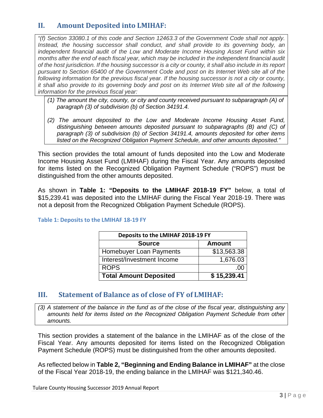## <span id="page-3-0"></span>**II. Amount Deposited into LMIHAF:**

*"(f) Section 33080.1 of this code and Section 12463.3 of the Government Code shall not apply. Instead, the housing successor shall conduct, and shall provide to its governing body, an independent financial audit of the Low and Moderate Income Housing Asset Fund within six months after the end of each fiscal year, which may be included in the independent financial audit of the host jurisdiction. If the housing successor is a city or county, it shall also include in its report pursuant to Section 65400 of the Government Code and post on its Internet Web site all of the following information for the previous fiscal year. If the housing successor is not a city or county, it shall also provide to its governing body and post on its Internet Web site all of the following information for the previous fiscal year:*

- *(1) The amount the city, county, or city and county received pursuant to subparagraph (A) of paragraph (3) of subdivision (b) of Section 34191.4.*
- *(2) The amount deposited to the Low and Moderate Income Housing Asset Fund, distinguishing between amounts deposited pursuant to subparagraphs (B) and (C) of paragraph (3) of subdivision (b) of Section 34191.4, amounts deposited for other items listed on the Recognized Obligation Payment Schedule, and other amounts deposited."*

This section provides the total amount of funds deposited into the Low and Moderate Income Housing Asset Fund (LMIHAF) during the Fiscal Year. Any amounts deposited for items listed on the Recognized Obligation Payment Schedule ("ROPS") must be distinguished from the other amounts deposited.

As shown in **Table 1: "Deposits to the LMIHAF 2018-19 FY"** below, a total of \$15,239.41 was deposited into the LMIHAF during the Fiscal Year 2018-19. There was not a deposit from the Recognized Obligation Payment Schedule (ROPS).

| Deposits to the LMIHAF 2018-19 FY |             |  |  |  |
|-----------------------------------|-------------|--|--|--|
| <b>Source</b><br><b>Amount</b>    |             |  |  |  |
| <b>Homebuyer Loan Payments</b>    | \$13,563.38 |  |  |  |
| Interest/Investment Income        | 1,676.03    |  |  |  |
| <b>ROPS</b>                       |             |  |  |  |
| <b>Total Amount Deposited</b>     | \$15,239.41 |  |  |  |

#### **Table 1: Deposits to the LMIHAF 18-19 FY**

#### <span id="page-3-1"></span>**III. Statement of Balance as of close of FY of LMIHAF:**

*(3) A statement of the balance in the fund as of the close of the fiscal year, distinguishing any amounts held for items listed on the Recognized Obligation Payment Schedule from other amounts.*

This section provides a statement of the balance in the LMIHAF as of the close of the Fiscal Year. Any amounts deposited for items listed on the Recognized Obligation Payment Schedule (ROPS) must be distinguished from the other amounts deposited.

As reflected below in **Table 2, "Beginning and Ending Balance in LMIHAF"** at the close of the Fiscal Year 2018-19, the ending balance in the LMIHAF was \$121,340.46.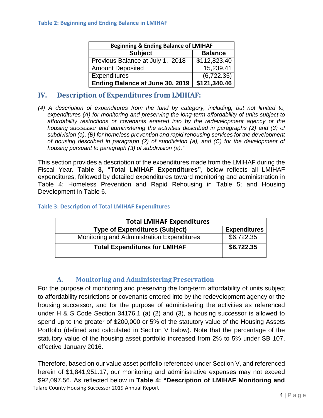| <b>Beginning &amp; Ending Balance of LMIHAF</b> |                |  |  |  |
|-------------------------------------------------|----------------|--|--|--|
| <b>Subject</b>                                  | <b>Balance</b> |  |  |  |
| Previous Balance at July 1, 2018                | \$112,823.40   |  |  |  |
| <b>Amount Deposited</b>                         | 15,239.41      |  |  |  |
| <b>Expenditures</b>                             | (6,722.35)     |  |  |  |
| Ending Balance at June 30, 2019                 | \$121,340.46   |  |  |  |

## <span id="page-4-0"></span>**IV. Description of Expenditures from LMIHAF:**

*(4) A description of expenditures from the fund by category, including, but not limited to, expenditures (A) for monitoring and preserving the long-term affordability of units subject to affordability restrictions or covenants entered into by the redevelopment agency or the housing successor and administering the activities described in paragraphs (2) and (3) of subdivision (a), (B) for homeless prevention and rapid rehousing services for the development of housing described in paragraph (2) of subdivision (a), and (C) for the development of housing pursuant to paragraph (3) of subdivision (a)."*

This section provides a description of the expenditures made from the LMIHAF during the Fiscal Year. **Table 3, "Total LMIHAF Expenditures"**, below reflects all LMIHAF expenditures, followed by detailed expenditures toward monitoring and administration in Table 4; Homeless Prevention and Rapid Rehousing in Table 5; and Housing Development in Table 6.

#### **Table 3: Description of Total LMIHAF Expenditures**

| <b>Total LMIHAF Expenditures</b>           |                     |
|--------------------------------------------|---------------------|
| <b>Type of Expenditures (Subject)</b>      | <b>Expenditures</b> |
| Monitoring and Administration Expenditures | \$6,722.35          |
| <b>Total Expenditures for LMIHAF</b>       | \$6,722.35          |

#### **A. Monitoring and Administering Preservation**

<span id="page-4-1"></span>For the purpose of monitoring and preserving the long-term affordability of units subject to affordability restrictions or covenants entered into by the redevelopment agency or the housing successor, and for the purpose of administering the activities as referenced under H & S Code Section 34176.1 (a) (2) and (3), a housing successor is allowed to spend up to the greater of \$200,000 or 5% of the statutory value of the Housing Assets Portfolio (defined and calculated in Section V below). Note that the percentage of the statutory value of the housing asset portfolio increased from 2% to 5% under SB 107, effective January 2016.

Tulare County Housing Successor 2019 Annual Report Therefore, based on our value asset portfolio referenced under Section V, and referenced herein of \$1,841,951.17, our monitoring and administrative expenses may not exceed \$92,097.56. As reflected below in **Table 4: "Description of LMIHAF Monitoring and**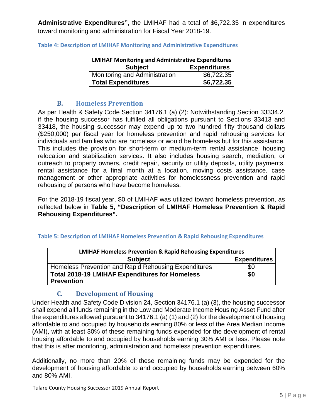**Administrative Expenditures"**, the LMIHAF had a total of \$6,722.35 in expenditures toward monitoring and administration for Fiscal Year 2018-19.

| <b>LMIHAF Monitoring and Administrative Expenditures</b> |                     |  |  |  |
|----------------------------------------------------------|---------------------|--|--|--|
| <b>Subject</b>                                           | <b>Expenditures</b> |  |  |  |
| Monitoring and Administration                            | \$6,722.35          |  |  |  |
| <b>Total Expenditures</b>                                | \$6,722.35          |  |  |  |

**Table 4: Description of LMIHAF Monitoring and Administrative Expenditures**

#### **B. Homeless Prevention**

<span id="page-5-0"></span>As per Health & Safety Code Section 34176.1 (a) (2): Notwithstanding Section 33334.2, if the housing successor has fulfilled all obligations pursuant to Sections 33413 and 33418, the housing successor may expend up to two hundred fifty thousand dollars (\$250,000) per fiscal year for homeless prevention and rapid rehousing services for individuals and families who are homeless or would be homeless but for this assistance. This includes the provision for short-term or medium-term rental assistance, housing relocation and stabilization services. It also includes housing search, mediation, or outreach to property owners, credit repair, security or utility deposits, utility payments, rental assistance for a final month at a location, moving costs assistance, case management or other appropriate activities for homelessness prevention and rapid rehousing of persons who have become homeless.

For the 2018-19 fiscal year, \$0 of LMIHAF was utilized toward homeless prevention, as reflected below in **Table 5, "Description of LMIHAF Homeless Prevention & Rapid Rehousing Expenditures".**

| <b>LMIHAF Homeless Prevention &amp; Rapid Rehousing Expenditures</b>       |                     |  |  |  |
|----------------------------------------------------------------------------|---------------------|--|--|--|
| <b>Subject</b>                                                             | <b>Expenditures</b> |  |  |  |
| Homeless Prevention and Rapid Rehousing Expenditures                       | \$0                 |  |  |  |
| <b>Total 2018-19 LMIHAF Expenditures for Homeless</b><br><b>Prevention</b> | \$0                 |  |  |  |

#### **Table 5: Description of LMIHAF Homeless Prevention & Rapid Rehousing Expenditures**

## **C. Development of Housing**

<span id="page-5-1"></span>Under Health and Safety Code Division 24, Section 34176.1 (a) (3), the housing successor shall expend all funds remaining in the Low and Moderate Income Housing Asset Fund after the expenditures allowed pursuant to 34176.1 (a) (1) and (2) for the development of housing affordable to and occupied by households earning 80% or less of the Area Median Income (AMI), with at least 30% of these remaining funds expended for the development of rental housing affordable to and occupied by households earning 30% AMI or less. Please note that this is after monitoring, administration and homeless prevention expenditures.

Additionally, no more than 20% of these remaining funds may be expended for the development of housing affordable to and occupied by households earning between 60% and 80% AMI.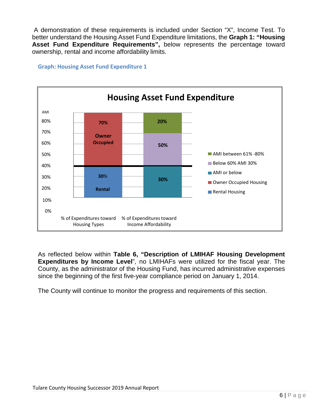A demonstration of these requirements is included under Section "X", Income Test. To better understand the Housing Asset Fund Expenditure limitations, the **Graph 1: "Housing Asset Fund Expenditure Requirements",** below represents the percentage toward ownership, rental and income affordability limits.

#### AMI **Housing Asset Fund Expenditure** 80% 70% 60% 50% 40% 30% 20% AMI between 61% -80% **Below 60% AMI 30% AMI** or below Owner Occupied Housing Rental Housing 10% 0% % of Expenditures toward % of Expenditurestoward Housing Types Income Affordability **70% Owner Occupied 20% 50% 30**% **Rental 30%**

**Graph: Housing Asset Fund Expenditure 1**

As reflected below within **Table 6, "Description of LMIHAF Housing Development Expenditures by Income Level**", no LMIHAFs were utilized for the fiscal year. The County, as the administrator of the Housing Fund, has incurred administrative expenses since the beginning of the first five-year compliance period on January 1, 2014.

The County will continue to monitor the progress and requirements of this section.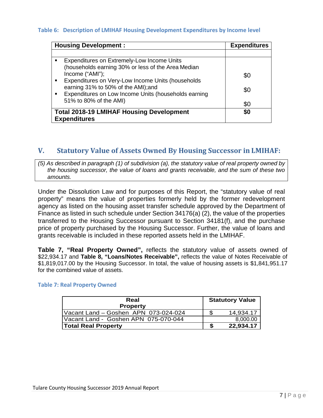#### **Table 6: Description of LMIHAF Housing Development Expenditures by Income level**

| <b>Housing Development:</b>                                                                                                | <b>Expenditures</b> |
|----------------------------------------------------------------------------------------------------------------------------|---------------------|
|                                                                                                                            |                     |
| Expenditures on Extremely-Low Income Units                                                                                 |                     |
| (households earning 30% or less of the Area Median<br>Income ("AMI");<br>Expenditures on Very-Low Income Units (households | \$0                 |
| earning 31% to 50% of the AMI); and<br>Expenditures on Low Income Units (households earning<br>$\blacksquare$              | \$0                 |
| 51% to 80% of the AMI)                                                                                                     | \$0                 |
| <b>Total 2018-19 LMIHAF Housing Development</b><br><b>Expenditures</b>                                                     | \$0                 |

#### <span id="page-7-0"></span>**V. Statutory Value of Assets Owned By Housing Successor in LMIHAF:**

*(5) As described in paragraph (1) of subdivision (a), the statutory value of real property owned by the housing successor, the value of loans and grants receivable, and the sum of these two amounts.*

Under the Dissolution Law and for purposes of this Report, the "statutory value of real property" means the value of properties formerly held by the former redevelopment agency as listed on the housing asset transfer schedule approved by the Department of Finance as listed in such schedule under Section 34176(a) (2), the value of the properties transferred to the Housing Successor pursuant to Section 34181(f), and the purchase price of property purchased by the Housing Successor. Further, the value of loans and grants receivable is included in these reported assets held in the LMIHAF.

**Table 7, "Real Property Owned",** reflects the statutory value of assets owned of \$22,934.17 and **Table 8, "Loans/Notes Receivable",** reflects the value of Notes Receivable of \$1,819,017.00 by the Housing Successor. In total, the value of housing assets is \$1,841,951.17 for the combined value of assets.

#### **Table 7: Real Property Owned**

| Real                                 | <b>Statutory Value</b> |           |  |
|--------------------------------------|------------------------|-----------|--|
| <b>Property</b>                      |                        |           |  |
| Vacant Land - Goshen APN 073-024-024 |                        | 14,934.17 |  |
| Vacant Land - Goshen APN 075-070-044 |                        | 8,000.00  |  |
| Total Real Property                  |                        | 22,934.17 |  |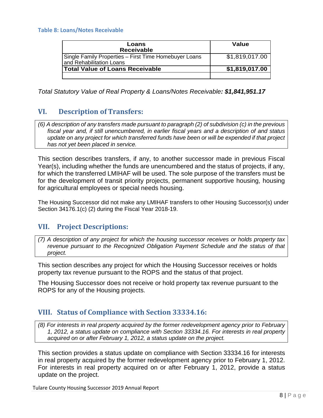#### **Table 8: Loans/Notes Receivable**

| Loans<br><b>Receivable</b>                                                        | Value          |
|-----------------------------------------------------------------------------------|----------------|
| Single Family Properties - First Time Homebuyer Loans<br>and Rehabilitation Loans | \$1,819,017.00 |
| Total Value of Loans Receivable                                                   | \$1,819,017.00 |
|                                                                                   |                |

*Total Statutory Value of Real Property & Loans/Notes Receivable: \$1,841,951.17*

## <span id="page-8-0"></span>**VI. Description of Transfers:**

*(6) A description of any transfers made pursuant to paragraph (2) of subdivision (c) in the previous fiscal year and, if still unencumbered, in earlier fiscal years and a description of and status update on any project for which transferred funds have been or will be expended if that project has not yet been placed in service.*

This section describes transfers, if any, to another successor made in previous Fiscal Year(s), including whether the funds are unencumbered and the status of projects, if any, for which the transferred LMIHAF will be used. The sole purpose of the transfers must be for the development of transit priority projects, permanent supportive housing, housing for agricultural employees or special needs housing.

The Housing Successor did not make any LMIHAF transfers to other Housing Successor(s) under Section 34176.1(c) (2) during the Fiscal Year 2018-19.

## <span id="page-8-1"></span>**VII. Project Descriptions:**

*(7) A description of any project for which the housing successor receives or holds property tax revenue pursuant to the Recognized Obligation Payment Schedule and the status of that project.*

This section describes any project for which the Housing Successor receives or holds property tax revenue pursuant to the ROPS and the status of that project.

The Housing Successor does not receive or hold property tax revenue pursuant to the ROPS for any of the Housing projects.

## <span id="page-8-2"></span>**VIII. Status of Compliance with Section 33334.16:**

*(8) For interests in real property acquired by the former redevelopment agency prior to February 1, 2012, a status update on compliance with Section 33334.16. For interests in real property acquired on or after February 1, 2012, a status update on the project.*

This section provides a status update on compliance with Section 33334.16 for interests in real property acquired by the former redevelopment agency prior to February 1, 2012. For interests in real property acquired on or after February 1, 2012, provide a status update on the project.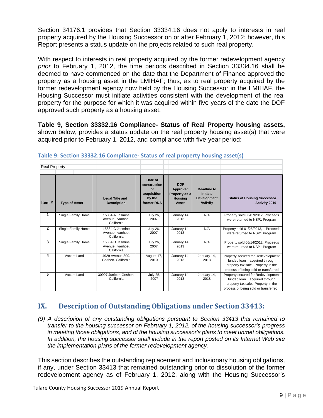Section 34176.1 provides that Section 33334.16 does not apply to interests in real property acquired by the Housing Successor on or after February 1, 2012; however, this Report presents a status update on the projects related to such real property.

With respect to interests in real property acquired by the former redevelopment agency *prior* to February 1, 2012, the time periods described in Section 33334.16 shall be deemed to have commenced on the date that the Department of Finance approved the property as a housing asset in the LMIHAF; thus, as to real property acquired by the former redevelopment agency now held by the Housing Successor in the LMIHAF, the Housing Successor must initiate activities consistent with the development of the real property for the purpose for which it was acquired within five years of the date the DOF approved such property as a housing asset.

**Table 9, Section 33332.16 Compliance- Status of Real Property housing assets,**  shown below, provides a status update on the real property housing asset(s) that were acquired prior to February 1, 2012, and compliance with five‐year period:

| <b>Real Property</b> |                      |                                                   |                                                                      |                                                                    |                                                                         |                                                                                                                                                   |
|----------------------|----------------------|---------------------------------------------------|----------------------------------------------------------------------|--------------------------------------------------------------------|-------------------------------------------------------------------------|---------------------------------------------------------------------------------------------------------------------------------------------------|
| Item#                | <b>Type of Asset</b> | <b>Legal Title and</b><br><b>Description</b>      | Date of<br>construction<br>or<br>acquisition<br>by the<br>former RDA | <b>DOF</b><br>Approved<br>Property as a<br><b>Housing</b><br>Asset | <b>Deadline to</b><br>Initiate<br><b>Development</b><br><b>Activity</b> | <b>Status of Housing Successor</b><br>Activity 2019                                                                                               |
| 1                    | Single Family Home   | 15884-A Jasmine<br>Avenue, Ivanhoe,<br>California | <b>July 26,</b><br>2007                                              | January 14,<br>2013                                                | N/A                                                                     | Property sold 06/07/2012, Proceeds<br>were returned to NSP1 Program                                                                               |
| $\mathbf{z}$         | Single Family Home   | 15884-C Jasmine<br>Avenue, Ivanhoe,<br>California | <b>July 26,</b><br>2007                                              | January 14,<br>2013                                                | N/A                                                                     | Property sold 01/25/2013, Proceeds<br>were returned to NSP1 Program                                                                               |
| 3                    | Single Family Home   | 15884-D Jasmine<br>Avenue, Ivanhoe,<br>California | <b>July 26,</b><br>2007                                              | January 14,<br>2013                                                | N/A                                                                     | Property sold 06/14/2012, Proceeds<br>were returned to NSP1 Program                                                                               |
| 4                    | Vacant Land          | 4929 Avenue 309.<br>Goshen, California            | August 17,<br>2010                                                   | January 14,<br>2013                                                | January 14,<br>2018                                                     | Property secured for Redevelopment<br>funded loan acquired through<br>property tax sale. Property in the<br>process of being sold or transferred  |
| 5                    | Vacant Land          | 30907 Juniper, Goshen,<br>California              | <b>July 25,</b><br>2007                                              | January 14,<br>2013                                                | January 14,<br>2018                                                     | Property secured for Redevelopment<br>funded loan acquired through<br>property tax sale. Property in the<br>process of being sold or transferred, |

**Table 9: Section 33332.16 Compliance- Status of real property housing asset(s)**

## <span id="page-9-0"></span>**IX. Description of Outstanding Obligations under Section 33413:**

*(9) A description of any outstanding obligations pursuant to Section 33413 that remained to transfer to the housing successor on February 1, 2012, of the housing successor's progress in meeting those obligations, and of the housing successor's plans to meet unmet obligations. In addition, the housing successor shall include in the report posted on its Internet Web site the implementation plans of the former redevelopment agency.*

This section describes the outstanding replacement and inclusionary housing obligations, if any, under Section 33413 that remained outstanding prior to dissolution of the former redevelopment agency as of February 1, 2012, along with the Housing Successor's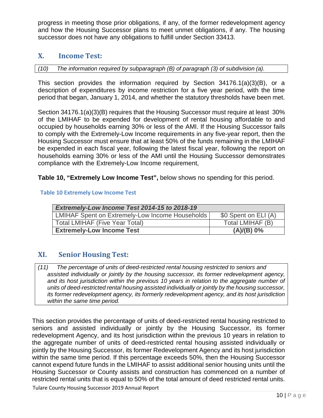progress in meeting those prior obligations, if any, of the former redevelopment agency and how the Housing Successor plans to meet unmet obligations, if any. The housing successor does not have any obligations to fulfill under Section 33413.

## <span id="page-10-0"></span>**X. Income Test:**

*(10) The information required by subparagraph (B) of paragraph (3) of subdivision (a).*

This section provides the information required by Section 34176.1(a)(3)(B), or a description of expenditures by income restriction for a five year period, with the time period that began, January 1, 2014, and whether the statutory thresholds have been met.

Section 34176.1(a)(3)(B) requires that the Housing Successor must require at least 30% of the LMIHAF to be expended for development of rental housing affordable to and occupied by households earning 30% or less of the AMI. If the Housing Successor fails to comply with the Extremely-Low Income requirements in any five-year report, then the Housing Successor must ensure that at least 50% of the funds remaining in the LMIHAF be expended in each fiscal year, following the latest fiscal year, following the report on households earning 30% or less of the AMI until the Housing Successor demonstrates compliance with the Extremely-Low Income requirement,

**Table 10, "Extremely Low Income Test",** below shows no spending for this period.

#### **Table 10 Extremely Low Income Test**

| Extremely-Low Income Test 2014-15 to 2018-19    |                      |  |  |  |  |  |
|-------------------------------------------------|----------------------|--|--|--|--|--|
| LMIHAF Spent on Extremely-Low Income Households | \$0 Spent on ELI (A) |  |  |  |  |  |
| <b>Total LMIHAF (Five Year Total)</b>           | Total LMIHAF (B)     |  |  |  |  |  |
| <b>Extremely-Low Income Test</b>                | (A)/(B) 0%           |  |  |  |  |  |

## <span id="page-10-1"></span>**XI. Senior Housing Test:**

*assisted individually or jointly by the housing successor, its former redevelopment agency, and its host jurisdiction within the previous 10 years in relation to the aggregate number of units of deed-restricted rental housing assisted individually or jointly by the housing successor, its former redevelopment agency, its formerly redevelopment agency, and its host jurisdiction within the same time period. (11) The percentage of units of deed-restricted rental housing restricted to seniors and*

This section provides the percentage of units of deed-restricted rental housing restricted to seniors and assisted individually or jointly by the Housing Successor, its former redevelopment Agency, and its host jurisdiction within the previous 10 years in relation to the aggregate number of units of deed-restricted rental housing assisted individually or jointly by the Housing Successor, its former Redevelopment Agency and its host jurisdiction within the same time period. If this percentage exceeds 50%, then the Housing Successor cannot expend future funds in the LMIHAF to assist additional senior housing units until the Housing Successor or County assists and construction has commenced on a number of restricted rental units that is equal to 50% of the total amount of deed restricted rental units.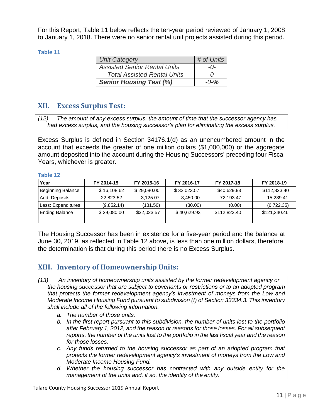For this Report, Table 11 below reflects the ten‐year period reviewed of January 1, 2008 to January 1, 2018. There were no senior rental unit projects assisted during this period.

#### **Table 11**

| <b>Unit Category</b>                | # of Units  |
|-------------------------------------|-------------|
| <b>Assisted Senior Rental Units</b> | $-0-$       |
| <b>Total Assisted Rental Units</b>  | $ \Omega$ - |
| <b>Senior Housing Test (%)</b>      | $-0-%$      |

## <span id="page-11-0"></span>**XII. Excess Surplus Test:**

*had excess surplus, and the housing successor's plan for eliminating the excess surplus. (12) The amount of any excess surplus, the amount of time that the successor agency has*

Excess Surplus is defined in Section 34176.1(d) as an unencumbered amount in the account that exceeds the greater of one million dollars (\$1,000,000) or the aggregate amount deposited into the account during the Housing Successors' preceding four Fiscal Years, whichever is greater.

#### **Table 12**

| Year                     | FY 2014-15  | FY 2015-16  | FY 2016-17  | FY 2017-18   | FY 2018-19   |  |
|--------------------------|-------------|-------------|-------------|--------------|--------------|--|
| <b>Beginning Balance</b> | \$16,108.62 | \$29,080.00 | \$32,023.57 | \$40,629.93  | \$112,823.40 |  |
| Add: Deposits            | 22,823.52   | 3,125.07    | 8,450.00    | 72,193.47    | 15.239.41    |  |
| Less: Expenditures       | (9,852.14)  | (181.50)    | (30.00)     | (0.00)       | (6,722.35)   |  |
| <b>Ending Balance</b>    | \$29,080.00 | \$32,023.57 | \$40,629.93 | \$112,823.40 | \$121,340.46 |  |
|                          |             |             |             |              |              |  |

The Housing Successor has been in existence for a five-year period and the balance at June 30, 2019, as reflected in Table 12 above, is less than one million dollars, therefore, the determination is that during this period there is no Excess Surplus.

## <span id="page-11-1"></span>**XIII. Inventory of Homeownership Units:**

- *the housing successor that are subject to covenants or restrictions or to an adopted program that protects the former redevelopment agency's investment of moneys from the Low and Moderate Income Housing Fund pursuant to subdivision (f) of Section 33334.3. This inventory shall include all of the following information: (13) An inventory of homeownership units assisted by the former redevelopment agency or*
	- *a. The number of those units.*
	- *b. In the first report pursuant to this subdivision, the number of units lost to the portfolio after February 1, 2012, and the reason or reasons for those losses. For all subsequent reports, the number of the units lost to the portfolio in the last fiscal year and the reason for those losses.*
	- *c. Any funds returned to the housing successor as part of an adopted program that protects the former redevelopment agency's investment of moneys from the Low and Moderate Income Housing Fund.*
	- *d. Whether the housing successor has contracted with any outside entity for the management of the units and, if so, the identity of the entity.*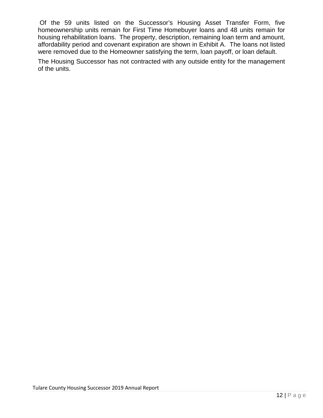Of the 59 units listed on the Successor's Housing Asset Transfer Form, five homeownership units remain for First Time Homebuyer loans and 48 units remain for housing rehabilitation loans. The property, description, remaining loan term and amount, affordability period and covenant expiration are shown in Exhibit A. The loans not listed were removed due to the Homeowner satisfying the term, loan payoff, or loan default.

The Housing Successor has not contracted with any outside entity for the management of the units.